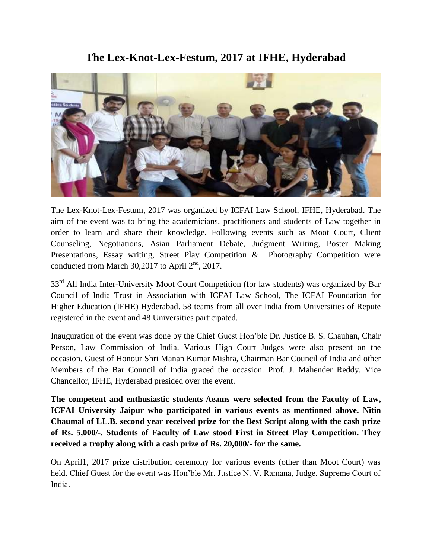**The Lex-Knot-Lex-Festum, 2017 at IFHE, Hyderabad**



The Lex-Knot-Lex-Festum, 2017 was organized by ICFAI Law School, IFHE, Hyderabad. The aim of the event was to bring the academicians, practitioners and students of Law together in order to learn and share their knowledge. Following events such as Moot Court, Client Counseling, Negotiations, Asian Parliament Debate, Judgment Writing, Poster Making Presentations, Essay writing, Street Play Competition & Photography Competition were conducted from March 30,2017 to April  $2<sup>nd</sup>$ , 2017.

33<sup>rd</sup> All India Inter-University Moot Court Competition (for law students) was organized by Bar Council of India Trust in Association with ICFAI Law School, The ICFAI Foundation for Higher Education (IFHE) Hyderabad. 58 teams from all over India from Universities of Repute registered in the event and 48 Universities participated.

Inauguration of the event was done by the Chief Guest Hon'ble Dr. Justice B. S. Chauhan, Chair Person, Law Commission of India. Various High Court Judges were also present on the occasion. Guest of Honour Shri Manan Kumar Mishra, Chairman Bar Council of India and other Members of the Bar Council of India graced the occasion. Prof. J. Mahender Reddy, Vice Chancellor, IFHE, Hyderabad presided over the event.

**The competent and enthusiastic students /teams were selected from the Faculty of Law, ICFAI University Jaipur who participated in various events as mentioned above. Nitin Chaumal of LL.B. second year received prize for the Best Script along with the cash prize of Rs. 5,000/-. Students of Faculty of Law stood First in Street Play Competition. They received a trophy along with a cash prize of Rs. 20,000/- for the same.**

On April1, 2017 prize distribution ceremony for various events (other than Moot Court) was held. Chief Guest for the event was Hon'ble Mr. Justice N. V. Ramana, Judge, Supreme Court of India.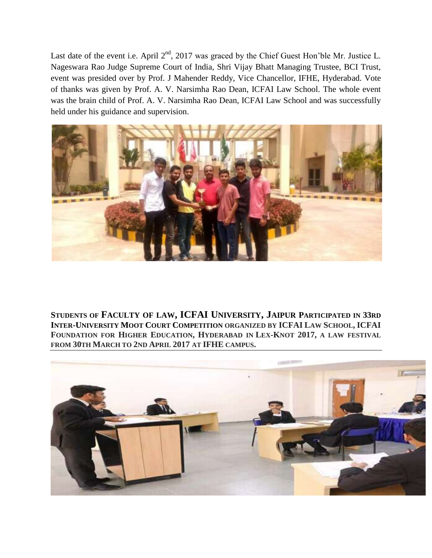Last date of the event i.e. April 2<sup>nd</sup>, 2017 was graced by the Chief Guest Hon'ble Mr. Justice L. Nageswara Rao Judge Supreme Court of India, Shri Vijay Bhatt Managing Trustee, BCI Trust, event was presided over by Prof. J Mahender Reddy, Vice Chancellor, IFHE, Hyderabad. Vote of thanks was given by Prof. A. V. Narsimha Rao Dean, ICFAI Law School. The whole event was the brain child of Prof. A. V. Narsimha Rao Dean, ICFAI Law School and was successfully held under his guidance and supervision.



**STUDENTS OF FACULTY OF LAW, ICFAI UNIVERSITY, JAIPUR PARTICIPATED IN 33RD INTER-UNIVERSITY MOOT COURT COMPETITION ORGANIZED BY ICFAI LAW SCHOOL, ICFAI FOUNDATION FOR HIGHER EDUCATION, HYDERABAD IN LEX-KNOT 2017, A LAW FESTIVAL FROM 30TH MARCH TO 2ND APRIL 2017 AT IFHE CAMPUS.**